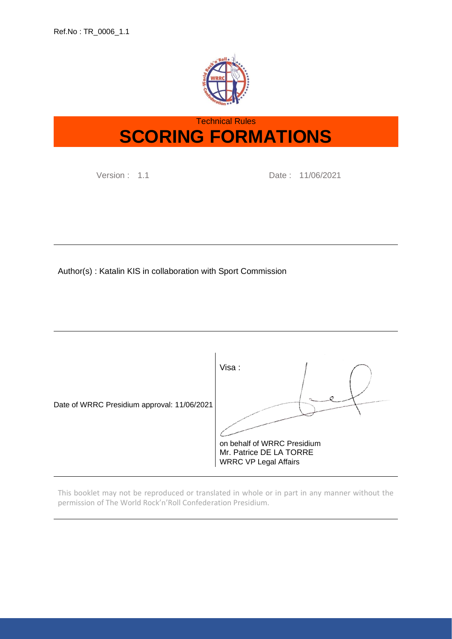

# Technical Rules **SCORING FORMATIONS**

Version : 1.1 Date : 11/06/2021

Author(s) : Katalin KIS in collaboration with Sport Commission



This booklet may not be reproduced or translated in whole or in part in any manner without the permission of The World Rock'n'Roll Confederation Presidium.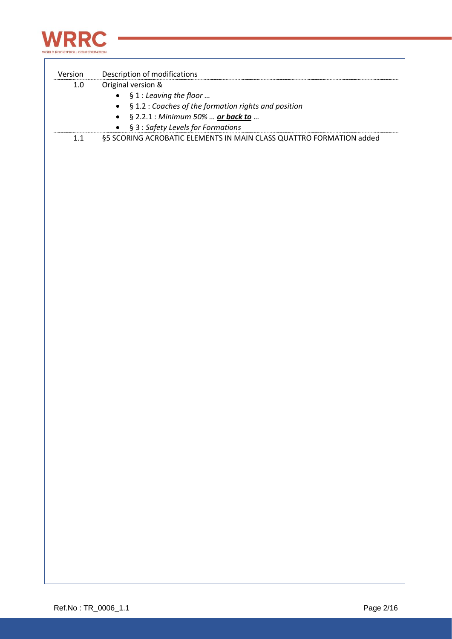

| Version | Description of modifications                                        |
|---------|---------------------------------------------------------------------|
| $1.0\,$ | Original version &                                                  |
|         | § 1 : Leaving the floor                                             |
|         | § 1.2 : Coaches of the formation rights and position                |
|         | § 2.2.1 : Minimum 50% <u>or back to</u>                             |
|         | § 3 : Safety Levels for Formations                                  |
| $1.1\,$ | §5 SCORING ACROBATIC ELEMENTS IN MAIN CLASS QUATTRO FORMATION added |
|         |                                                                     |
|         |                                                                     |
|         |                                                                     |
|         |                                                                     |
|         |                                                                     |
|         |                                                                     |
|         |                                                                     |
|         |                                                                     |
|         |                                                                     |
|         |                                                                     |
|         |                                                                     |
|         |                                                                     |
|         |                                                                     |
|         |                                                                     |
|         |                                                                     |
|         |                                                                     |
|         |                                                                     |
|         |                                                                     |
|         |                                                                     |
|         |                                                                     |
|         |                                                                     |
|         |                                                                     |
|         |                                                                     |
|         |                                                                     |
|         |                                                                     |
|         |                                                                     |
|         |                                                                     |
|         |                                                                     |
|         |                                                                     |
|         |                                                                     |
|         |                                                                     |
|         |                                                                     |
|         |                                                                     |
|         |                                                                     |
|         |                                                                     |
|         |                                                                     |
|         |                                                                     |
|         |                                                                     |
|         |                                                                     |
|         |                                                                     |
|         |                                                                     |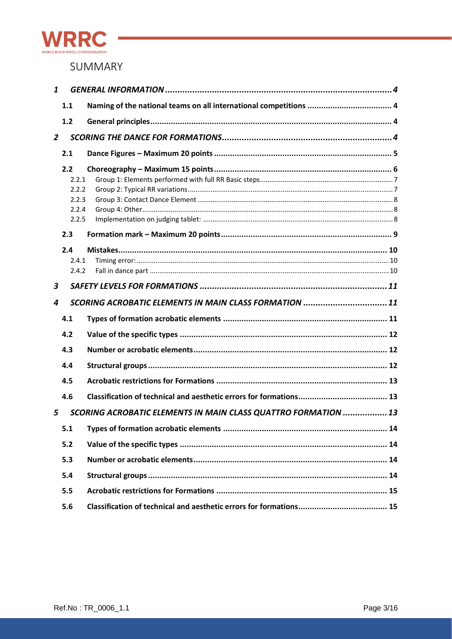

## SUMMARY

| 1              |       |                                                                |
|----------------|-------|----------------------------------------------------------------|
|                | 1.1   |                                                                |
|                | 1.2   |                                                                |
| $\overline{2}$ |       |                                                                |
|                | 2.1   |                                                                |
|                | 2.2   |                                                                |
|                | 2.2.1 |                                                                |
|                | 2.2.2 |                                                                |
|                | 2.2.3 |                                                                |
|                | 2.2.4 |                                                                |
|                | 2.2.5 |                                                                |
|                | 2.3   |                                                                |
|                | 2.4   |                                                                |
|                | 2.4.1 |                                                                |
|                | 2.4.2 |                                                                |
| 3              |       |                                                                |
| 4              |       | SCORING ACROBATIC ELEMENTS IN MAIN CLASS FORMATION 11          |
|                | 4.1   |                                                                |
|                | 4.2   |                                                                |
|                | 4.3   |                                                                |
|                | 4.4   |                                                                |
|                | 4.5   |                                                                |
|                | 4.6   |                                                                |
| 5              |       | SCORING ACROBATIC ELEMENTS IN MAIN CLASS QUATTRO FORMATION  13 |
|                | 5.1   |                                                                |
|                | 5.2   |                                                                |
|                | 5.3   |                                                                |
|                | 5.4   |                                                                |
|                | 5.5   |                                                                |
|                | 5.6   |                                                                |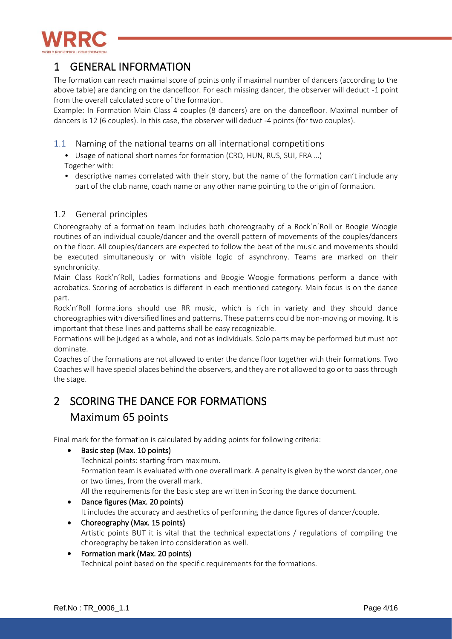

## <span id="page-3-0"></span>1 GENERAL INFORMATION

The formation can reach maximal score of points only if maximal number of dancers (according to the above table) are dancing on the dancefloor. For each missing dancer, the observer will deduct -1 point from the overall calculated score of the formation.

Example: In Formation Main Class 4 couples (8 dancers) are on the dancefloor. Maximal number of dancers is 12 (6 couples). In this case, the observer will deduct -4 points (for two couples).

- <span id="page-3-1"></span>1.1 Naming of the national teams on all international competitions
	- Usage of national short names for formation (CRO, HUN, RUS, SUI, FRA ...) Together with:
	- descriptive names correlated with their story, but the name of the formation can't include any part of the club name, coach name or any other name pointing to the origin of formation.

## <span id="page-3-2"></span>1.2 General principles

Choreography of a formation team includes both choreography of a Rock´n´Roll or Boogie Woogie routines of an individual couple/dancer and the overall pattern of movements of the couples/dancers on the floor. All couples/dancers are expected to follow the beat of the music and movements should be executed simultaneously or with visible logic of asynchrony. Teams are marked on their synchronicity.

Main Class Rock'n'Roll, Ladies formations and Boogie Woogie formations perform a dance with acrobatics. Scoring of acrobatics is different in each mentioned category. Main focus is on the dance part.

Rock'n'Roll formations should use RR music, which is rich in variety and they should dance choreographies with diversified lines and patterns. These patterns could be non-moving or moving. It is important that these lines and patterns shall be easy recognizable.

Formations will be judged as a whole, and not as individuals. Solo parts may be performed but must not dominate.

Coaches of the formations are not allowed to enter the dance floor together with their formations. Two Coaches will have special places behind the observers, and they are not allowed to go or to pass through the stage.

# <span id="page-3-3"></span>2 SCORING THE DANCE FOR FORMATIONS Maximum 65 points

Final mark for the formation is calculated by adding points for following criteria:

- Basic step (Max. 10 points) Technical points: starting from maximum. Formation team is evaluated with one overall mark. A penalty is given by the worst dancer, one or two times, from the overall mark. All the requirements for the basic step are written in Scoring the dance document.
- Dance figures (Max. 20 points) It includes the accuracy and aesthetics of performing the dance figures of dancer/couple.
- Choreography (Max. 15 points) Artistic points BUT it is vital that the technical expectations / regulations of compiling the choreography be taken into consideration as well.
- Formation mark (Max. 20 points) Technical point based on the specific requirements for the formations.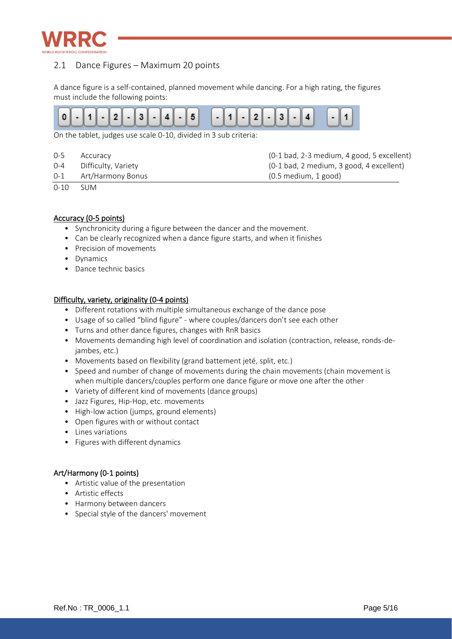

## <span id="page-4-0"></span>2.1 Dance Figures – Maximum 20 points

A dance figure is a self-contained, planned movement while dancing. For a high rating, the figures must include the following points:



On the tablet, judges use scale 0-10, divided in 3 sub criteria:

| $0 - 5$ | Accuracy            | (0-1 bad, 2-3 medium, 4 good, 5 excellent) |
|---------|---------------------|--------------------------------------------|
| 0-4     | Difficulty, Variety | $(0-1$ bad, 2 medium, 3 good, 4 excellent) |
| 0-1     | Art/Harmony Bonus   | $(0.5 \text{ medium}, 1 \text{ good})$     |

0-10 SUM

### Accuracy (0-5 points)

- Synchronicity during a figure between the dancer and the movement.
- Can be clearly recognized when a dance figure starts, and when it finishes
- Precision of movements
- Dynamics
- Dance technic basics

### Difficulty, variety, originality (0-4 points)

- Different rotations with multiple simultaneous exchange of the dance pose
- Usage of so called "blind figure" where couples/dancers don't see each other
- Turns and other dance figures, changes with RnR basics
- Movements demanding high level of coordination and isolation (contraction, release, ronds-dejambes, etc.)
- Movements based on flexibility (grand battement jeté, split, etc.)
- Speed and number of change of movements during the chain movements (chain movement is when multiple dancers/couples perform one dance figure or move one after the other
- Variety of different kind of movements (dance groups)
- Jazz Figures, Hip-Hop, etc. movements
- High-low action (jumps, ground elements)
- Open figures with or without contact
- Lines variations
- Figures with different dynamics

### Art/Harmony (0-1 points)

- Artistic value of the presentation
- Artistic effects
- Harmony between dancers
- Special style of the dancers' movement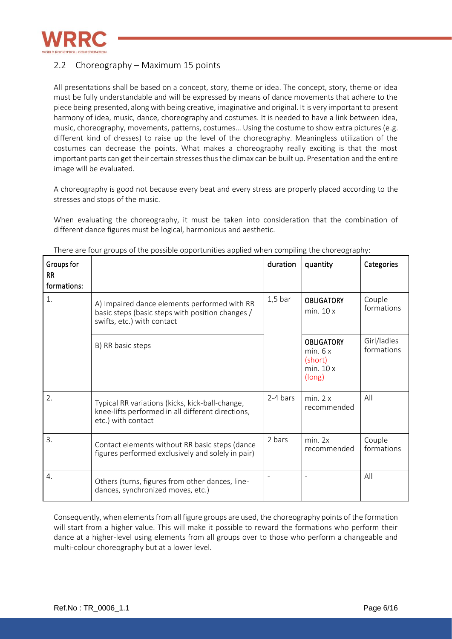

## <span id="page-5-0"></span>2.2 Choreography – Maximum 15 points

All presentations shall be based on a concept, story, theme or idea. The concept, story, theme or idea must be fully understandable and will be expressed by means of dance movements that adhere to the piece being presented, along with being creative, imaginative and original. It is very important to present harmony of idea, music, dance, choreography and costumes. It is needed to have a link between idea, music, choreography, movements, patterns, costumes… Using the costume to show extra pictures (e.g. different kind of dresses) to raise up the level of the choreography. Meaningless utilization of the costumes can decrease the points. What makes a choreography really exciting is that the most important parts can get their certain stresses thus the climax can be built up. Presentation and the entire image will be evaluated.

A choreography is good not because every beat and every stress are properly placed according to the stresses and stops of the music.

When evaluating the choreography, it must be taken into consideration that the combination of different dance figures must be logical, harmonious and aesthetic.

| Groups for<br><b>RR</b><br>formations: |                                                                                                                                | duration  | quantity                                                     | Categories                |
|----------------------------------------|--------------------------------------------------------------------------------------------------------------------------------|-----------|--------------------------------------------------------------|---------------------------|
| 1.                                     | A) Impaired dance elements performed with RR<br>basic steps (basic steps with position changes /<br>swifts, etc.) with contact | $1,5$ bar | <b>OBLIGATORY</b><br>min. 10x                                | Couple<br>formations      |
|                                        | B) RR basic steps                                                                                                              |           | <b>OBLIGATORY</b><br>min. 6x<br>(short)<br>min. 10x<br>long) | Girl/ladies<br>formations |
| $\overline{2}$ .                       | Typical RR variations (kicks, kick-ball-change,<br>knee-lifts performed in all different directions,<br>etc.) with contact     | 2-4 bars  | min. 2x<br>recommended                                       | All                       |
| 3.                                     | Contact elements without RR basic steps (dance<br>figures performed exclusively and solely in pair)                            | 2 bars    | min. 2x<br>recommended                                       | Couple<br>formations      |
| $\overline{4}$ .                       | Others (turns, figures from other dances, line-<br>dances, synchronized moves, etc.)                                           |           |                                                              | All                       |

There are four groups of the possible opportunities applied when compiling the choreography:

Consequently, when elements from all figure groups are used, the choreography points of the formation will start from a higher value. This will make it possible to reward the formations who perform their dance at a higher-level using elements from all groups over to those who perform a changeable and multi-colour choreography but at a lower level.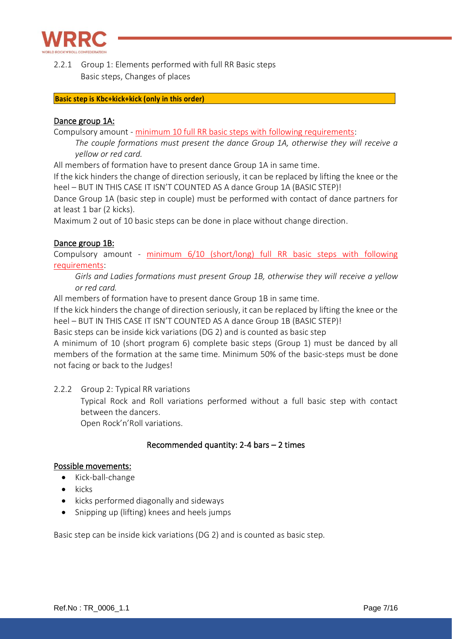

<span id="page-6-0"></span>2.2.1 Group 1: Elements performed with full RR Basic steps Basic steps, Changes of places

### **Basic step is Kbc+kick+kick (only in this order)**

### Dance group 1A:

Compulsory amount - minimum 10 full RR basic steps with following requirements:

*The couple formations must present the dance Group 1A, otherwise they will receive a yellow or red card.*

All members of formation have to present dance Group 1A in same time.

If the kick hinders the change of direction seriously, it can be replaced by lifting the knee or the heel – BUT IN THIS CASE IT ISN'T COUNTED AS A dance Group 1A (BASIC STEP)!

Dance Group 1A (basic step in couple) must be performed with contact of dance partners for at least 1 bar (2 kicks).

Maximum 2 out of 10 basic steps can be done in place without change direction.

### Dance group 1B:

Compulsory amount - minimum 6/10 (short/long) full RR basic steps with following requirements:

*Girls and Ladies formations must present Group 1B, otherwise they will receive a yellow or red card.*

All members of formation have to present dance Group 1B in same time.

If the kick hinders the change of direction seriously, it can be replaced by lifting the knee or the heel – BUT IN THIS CASE IT ISN'T COUNTED AS A dance Group 1B (BASIC STEP)!

Basic steps can be inside kick variations (DG 2) and is counted as basic step

A minimum of 10 (short program 6) complete basic steps (Group 1) must be danced by all members of the formation at the same time. Minimum 50% of the basic-steps must be done not facing or back to the Judges!

<span id="page-6-1"></span>2.2.2 Group 2: Typical RR variations

Typical Rock and Roll variations performed without a full basic step with contact between the dancers.

Open Rock'n'Roll variations.

## Recommended quantity: 2-4 bars – 2 times

### Possible movements:

- Kick-ball-change
- kicks
- kicks performed diagonally and sideways
- Snipping up (lifting) knees and heels jumps

Basic step can be inside kick variations (DG 2) and is counted as basic step.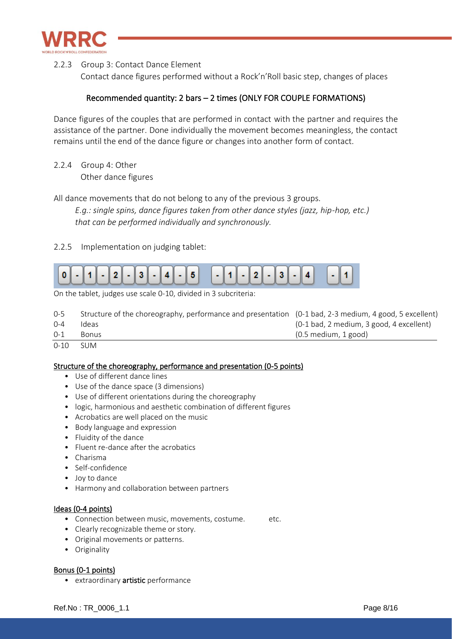

<span id="page-7-0"></span>2.2.3 Group 3: Contact Dance Element

Contact dance figures performed without a Rock'n'Roll basic step, changes of places

## Recommended quantity: 2 bars – 2 times (ONLY FOR COUPLE FORMATIONS)

Dance figures of the couples that are performed in contact with the partner and requires the assistance of the partner. Done individually the movement becomes meaningless, the contact remains until the end of the dance figure or changes into another form of contact.

<span id="page-7-1"></span>2.2.4 Group 4: Other Other dance figures

All dance movements that do not belong to any of the previous 3 groups.

*E.g.: single spins, dance figures taken from other dance styles (jazz, hip-hop, etc.) that can be performed individually and synchronously.*

## <span id="page-7-2"></span>2.2.5 Implementation on judging tablet:



On the tablet, judges use scale 0-10, divided in 3 subcriteria:

| $0 - 1$ | <b>Bonus</b>                                                                                           | $(0.5 \text{ medium}, 1 \text{ good})$   |
|---------|--------------------------------------------------------------------------------------------------------|------------------------------------------|
| $0 - 4$ | Ideas                                                                                                  | (0-1 bad, 2 medium, 3 good, 4 excellent) |
| $0 - 5$ | Structure of the choreography, performance and presentation (0-1 bad, 2-3 medium, 4 good, 5 excellent) |                                          |

0-10 SUM

### Structure of the choreography, performance and presentation (0-5 points)

- Use of different dance lines
- Use of the dance space (3 dimensions)
- Use of different orientations during the choreography
- logic, harmonious and aesthetic combination of different figures
- Acrobatics are well placed on the music
- Body language and expression
- Fluidity of the dance
- Fluent re-dance after the acrobatics
- Charisma
- Self-confidence
- Joy to dance
- Harmony and collaboration between partners

### Ideas (0-4 points)

- Connection between music, movements, costume. etc.
- Clearly recognizable theme or story.
- Original movements or patterns.
- Originality

### Bonus (0-1 points)

• extraordinary **artistic** performance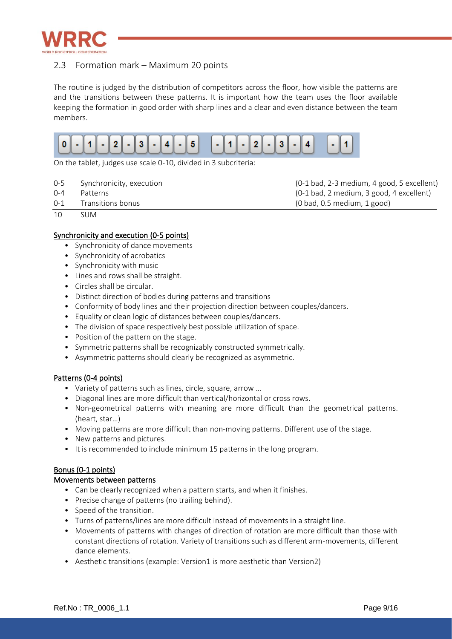

## <span id="page-8-0"></span>2.3 Formation mark – Maximum 20 points

The routine is judged by the distribution of competitors across the floor, how visible the patterns are and the transitions between these patterns. It is important how the team uses the floor available keeping the formation in good order with sharp lines and a clear and even distance between the team members.



On the tablet, judges use scale 0-10, divided in 3 subcriteria:

- 0-5 Synchronicity, execution (0-1 bad, 2-3 medium, 4 good, 5 excellent)
- 0-4 Patterns (0-1 bad, 2 medium, 3 good, 4 excellent)
- 0-1 Transitions bonus (0 bad, 0.5 medium, 1 good)
- 10 SUM

### Synchronicity and execution (0-5 points)

- Synchronicity of dance movements
- Synchronicity of acrobatics
- Synchronicity with music
- Lines and rows shall be straight.
- Circles shall be circular.
- Distinct direction of bodies during patterns and transitions
- Conformity of body lines and their projection direction between couples/dancers.
- Equality or clean logic of distances between couples/dancers.
- The division of space respectively best possible utilization of space.
- Position of the pattern on the stage.
- Symmetric patterns shall be recognizably constructed symmetrically.
- Asymmetric patterns should clearly be recognized as asymmetric.

### Patterns (0-4 points)

- Variety of patterns such as lines, circle, square, arrow …
- Diagonal lines are more difficult than vertical/horizontal or cross rows.
- Non-geometrical patterns with meaning are more difficult than the geometrical patterns. (heart, star…)
- Moving patterns are more difficult than non-moving patterns. Different use of the stage.
- New patterns and pictures.
- It is recommended to include minimum 15 patterns in the long program.

### Bonus (0-1 points)

#### Movements between patterns

- Can be clearly recognized when a pattern starts, and when it finishes.
- Precise change of patterns (no trailing behind).
- Speed of the transition.
- Turns of patterns/lines are more difficult instead of movements in a straight line.
- Movements of patterns with changes of direction of rotation are more difficult than those with constant directions of rotation. Variety of transitions such as different arm-movements, different dance elements.
- Aesthetic transitions (example: Version1 is more aesthetic than Version2)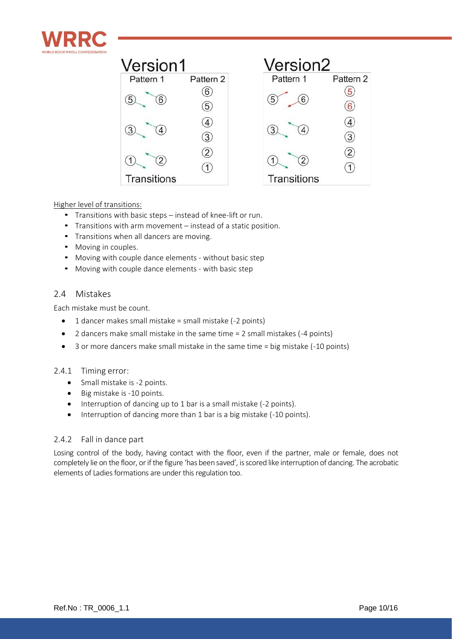

| Version1    |           | Version <sub>2</sub> |           |
|-------------|-----------|----------------------|-----------|
| Pattern 1   | Pattern 2 | Pattern 1            | Pattern 2 |
| 6           | 6<br>5    | 5                    |           |
|             | 3         |                      | 3         |
|             |           |                      |           |
| Transitions |           | Transitions          |           |

### Higher level of transitions:

- Transitions with basic steps instead of knee-lift or run.
- Transitions with arm movement instead of a static position.
- Transitions when all dancers are moving.
- Moving in couples.
- Moving with couple dance elements without basic step
- Moving with couple dance elements with basic step

## <span id="page-9-0"></span>2.4 Mistakes

Each mistake must be count.

- $\bullet$  1 dancer makes small mistake = small mistake (-2 points)
- 2 dancers make small mistake in the same time = 2 small mistakes (-4 points)
- 3 or more dancers make small mistake in the same time = big mistake (-10 points)

### <span id="page-9-1"></span>2.4.1 Timing error:

- Small mistake is -2 points.
- Big mistake is -10 points.
- Interruption of dancing up to 1 bar is a small mistake (-2 points).
- Interruption of dancing more than 1 bar is a big mistake (-10 points).

### <span id="page-9-2"></span>2.4.2 Fall in dance part

Losing control of the body, having contact with the floor, even if the partner, male or female, does not completely lie on the floor, or if the figure 'has been saved', is scored like interruption of dancing. The acrobatic elements of Ladies formations are under this regulation too.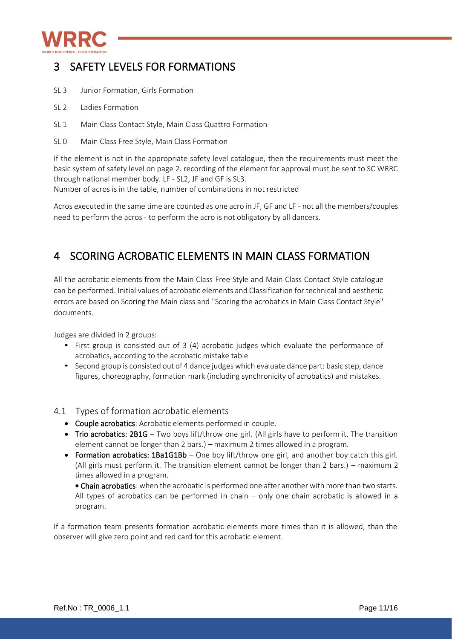

## <span id="page-10-0"></span>3 SAFETY LEVELS FOR FORMATIONS

- SL 3 Junior Formation, Girls Formation
- SL<sub>2</sub> Ladies Formation
- SL 1 Main Class Contact Style, Main Class Quattro Formation
- SL 0 Main Class Free Style, Main Class Formation

If the element is not in the appropriate safety level catalogue, then the requirements must meet the basic system of safety level on page 2. recording of the element for approval must be sent to SC WRRC through national member body. LF - SL2, JF and GF is SL3.

Number of acros is in the table, number of combinations in not restricted

Acros executed in the same time are counted as one acro in JF, GF and LF - not all the members/couples need to perform the acros - to perform the acro is not obligatory by all dancers.

## <span id="page-10-1"></span>4 SCORING ACROBATIC ELEMENTS IN MAIN CLASS FORMATION

All the acrobatic elements from the Main Class Free Style and Main Class Contact Style catalogue can be performed. Initial values of acrobatic elements and Classification for technical and aesthetic errors are based on Scoring the Main class and "Scoring the acrobatics in Main Class Contact Style" documents.

Judges are divided in 2 groups:

- First group is consisted out of 3 (4) acrobatic judges which evaluate the performance of acrobatics, according to the acrobatic mistake table
- Second group is consisted out of 4 dance judges which evaluate dance part: basic step, dance figures, choreography, formation mark (including synchronicity of acrobatics) and mistakes.

### <span id="page-10-2"></span>4.1 Types of formation acrobatic elements

- Couple acrobatics: Acrobatic elements performed in couple.
- Trio acrobatics: 2B1G Two boys lift/throw one girl. (All girls have to perform it. The transition element cannot be longer than 2 bars.) – maximum 2 times allowed in a program.
- Formation acrobatics: 1Ba1G1Bb One boy lift/throw one girl, and another boy catch this girl. (All girls must perform it. The transition element cannot be longer than 2 bars.) – maximum 2 times allowed in a program.

• Chain acrobatics: when the acrobatic is performed one after another with more than two starts. All types of acrobatics can be performed in chain – only one chain acrobatic is allowed in a program.

If a formation team presents formation acrobatic elements more times than it is allowed, than the observer will give zero point and red card for this acrobatic element.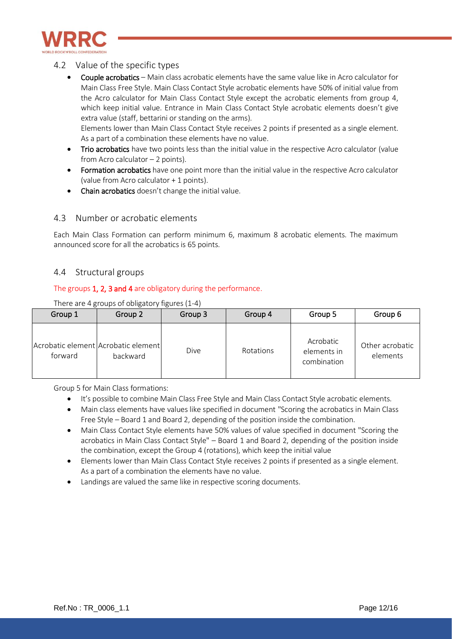

## <span id="page-11-0"></span>4.2 Value of the specific types

- Couple acrobatics Main class acrobatic elements have the same value like in Acro calculator for Main Class Free Style. Main Class Contact Style acrobatic elements have 50% of initial value from the Acro calculator for Main Class Contact Style except the acrobatic elements from group 4, which keep initial value. Entrance in Main Class Contact Style acrobatic elements doesn't give extra value (staff, bettarini or standing on the arms). Elements lower than Main Class Contact Style receives 2 points if presented as a single element. As a part of a combination these elements have no value.
- Trio acrobatics have two points less than the initial value in the respective Acro calculator (value from Acro calculator  $-2$  points).
- Formation acrobatics have one point more than the initial value in the respective Acro calculator (value from Acro calculator + 1 points).
- Chain acrobatics doesn't change the initial value.

## <span id="page-11-1"></span>4.3 Number or acrobatic elements

Each Main Class Formation can perform minimum 6, maximum 8 acrobatic elements. The maximum announced score for all the acrobatics is 65 points.

### <span id="page-11-2"></span>4.4 Structural groups

### The groups 1, 2, 3 and 4 are obligatory during the performance.

| Group 1 | Group 2                                         | Group 3 | Group 4   | Group 5                                 | Group 6                     |
|---------|-------------------------------------------------|---------|-----------|-----------------------------------------|-----------------------------|
| forward | Acrobatic element Acrobatic element<br>backward | Dive    | Rotations | Acrobatic<br>elements in<br>combination | Other acrobatic<br>elements |

There are 4 groups of obligatory figures (1-4)

Group 5 for Main Class formations:

- It's possible to combine Main Class Free Style and Main Class Contact Style acrobatic elements.
- Main class elements have values like specified in document "Scoring the acrobatics in Main Class Free Style – Board 1 and Board 2, depending of the position inside the combination.
- Main Class Contact Style elements have 50% values of value specified in document "Scoring the acrobatics in Main Class Contact Style" – Board 1 and Board 2, depending of the position inside the combination, except the Group 4 (rotations), which keep the initial value
- Elements lower than Main Class Contact Style receives 2 points if presented as a single element. As a part of a combination the elements have no value.
- Landings are valued the same like in respective scoring documents.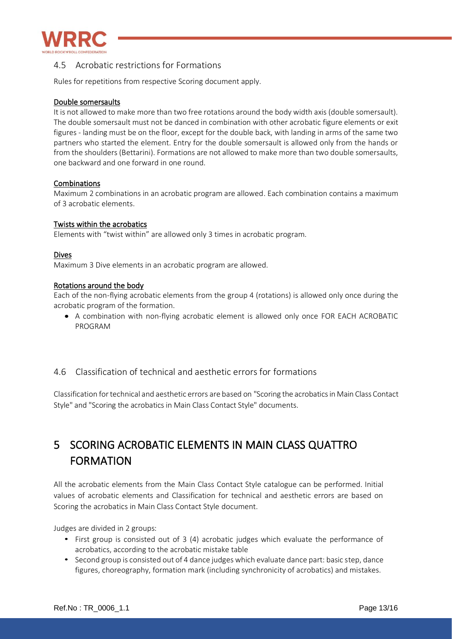

## <span id="page-12-0"></span>4.5 Acrobatic restrictions for Formations

Rules for repetitions from respective Scoring document apply.

### Double somersaults

It is not allowed to make more than two free rotations around the body width axis (double somersault). The double somersault must not be danced in combination with other acrobatic figure elements or exit figures - landing must be on the floor, except for the double back, with landing in arms of the same two partners who started the element. Entry for the double somersault is allowed only from the hands or from the shoulders (Bettarini). Formations are not allowed to make more than two double somersaults, one backward and one forward in one round.

### Combinations

Maximum 2 combinations in an acrobatic program are allowed. Each combination contains a maximum of 3 acrobatic elements.

### Twists within the acrobatics

Elements with "twist within" are allowed only 3 times in acrobatic program.

### Dives

Maximum 3 Dive elements in an acrobatic program are allowed.

### Rotations around the body

Each of the non-flying acrobatic elements from the group 4 (rotations) is allowed only once during the acrobatic program of the formation.

• A combination with non-flying acrobatic element is allowed only once FOR EACH ACROBATIC PROGRAM

## <span id="page-12-1"></span>4.6 Classification of technical and aesthetic errors for formations

Classification for technical and aesthetic errors are based on "Scoring the acrobatics in Main Class Contact Style" and "Scoring the acrobatics in Main Class Contact Style" documents.

# <span id="page-12-2"></span>5 SCORING ACROBATIC ELEMENTS IN MAIN CLASS QUATTRO FORMATION

All the acrobatic elements from the Main Class Contact Style catalogue can be performed. Initial values of acrobatic elements and Classification for technical and aesthetic errors are based on Scoring the acrobatics in Main Class Contact Style document.

Judges are divided in 2 groups:

- First group is consisted out of 3 (4) acrobatic judges which evaluate the performance of acrobatics, according to the acrobatic mistake table
- Second group is consisted out of 4 dance judges which evaluate dance part: basic step, dance figures, choreography, formation mark (including synchronicity of acrobatics) and mistakes.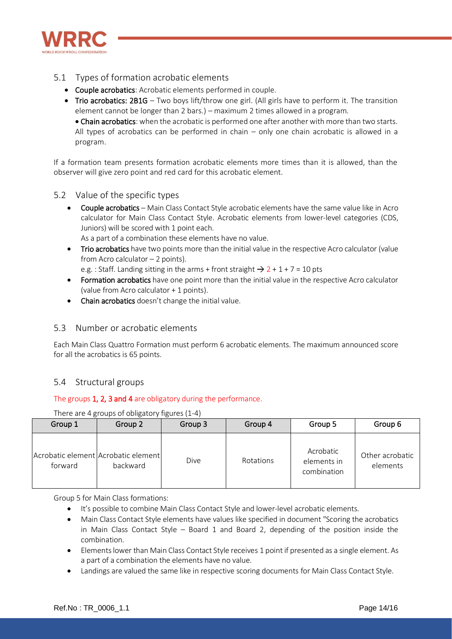

- <span id="page-13-0"></span>5.1 Types of formation acrobatic elements
	- Couple acrobatics: Acrobatic elements performed in couple.
	- Trio acrobatics: 2B1G Two boys lift/throw one girl. (All girls have to perform it. The transition element cannot be longer than 2 bars.) – maximum 2 times allowed in a program.

• Chain acrobatics: when the acrobatic is performed one after another with more than two starts. All types of acrobatics can be performed in chain – only one chain acrobatic is allowed in a program.

If a formation team presents formation acrobatic elements more times than it is allowed, than the observer will give zero point and red card for this acrobatic element.

- <span id="page-13-1"></span>5.2 Value of the specific types
	- Couple acrobatics Main Class Contact Style acrobatic elements have the same value like in Acro calculator for Main Class Contact Style. Acrobatic elements from lower-level categories (CDS, Juniors) will be scored with 1 point each.
		- As a part of a combination these elements have no value.
	- Trio acrobatics have two points more than the initial value in the respective Acro calculator (value from Acro calculator – 2 points).

e.g. : Staff. Landing sitting in the arms + front straight  $\rightarrow$  2 + 1 + 7 = 10 pts

- Formation acrobatics have one point more than the initial value in the respective Acro calculator (value from Acro calculator + 1 points).
- Chain acrobatics doesn't change the initial value.

## <span id="page-13-2"></span>5.3 Number or acrobatic elements

Each Main Class Quattro Formation must perform 6 acrobatic elements. The maximum announced score for all the acrobatics is 65 points.

## <span id="page-13-3"></span>5.4 Structural groups

## The groups 1, 2, 3 and 4 are obligatory during the performance.

| Group 1 | Group 2                                         | Group 3 | Group 4   | Group 5                                 | Group 6                     |
|---------|-------------------------------------------------|---------|-----------|-----------------------------------------|-----------------------------|
| forward | Acrobatic element Acrobatic element<br>backward | Dive    | Rotations | Acrobatic<br>elements in<br>combination | Other acrobatic<br>elements |

There are 4 groups of obligatory figures (1-4)

Group 5 for Main Class formations:

- It's possible to combine Main Class Contact Style and lower-level acrobatic elements.
- Main Class Contact Style elements have values like specified in document "Scoring the acrobatics" in Main Class Contact Style – Board 1 and Board 2, depending of the position inside the combination.
- Elements lower than Main Class Contact Style receives 1 point if presented as a single element. As a part of a combination the elements have no value.
- Landings are valued the same like in respective scoring documents for Main Class Contact Style.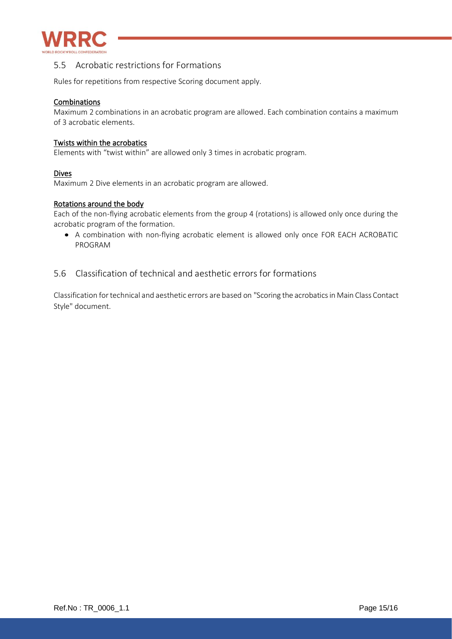

## <span id="page-14-0"></span>5.5 Acrobatic restrictions for Formations

Rules for repetitions from respective Scoring document apply.

### Combinations

Maximum 2 combinations in an acrobatic program are allowed. Each combination contains a maximum of 3 acrobatic elements.

### Twists within the acrobatics

Elements with "twist within" are allowed only 3 times in acrobatic program.

### Dives

Maximum 2 Dive elements in an acrobatic program are allowed.

### Rotations around the body

Each of the non-flying acrobatic elements from the group 4 (rotations) is allowed only once during the acrobatic program of the formation.

• A combination with non-flying acrobatic element is allowed only once FOR EACH ACROBATIC PROGRAM

## <span id="page-14-1"></span>5.6 Classification of technical and aesthetic errors for formations

Classification for technical and aesthetic errors are based on "Scoring the acrobatics in Main Class Contact Style" document.